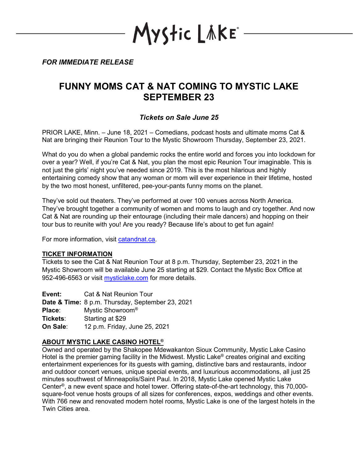YStic LÄKE\*

*FOR IMMEDIATE RELEASE*

# **FUNNY MOMS CAT & NAT COMING TO MYSTIC LAKE SEPTEMBER 23**

## *Tickets on Sale June 25*

PRIOR LAKE, Minn. – June 18, 2021 – Comedians, podcast hosts and ultimate moms Cat & Nat are bringing their Reunion Tour to the Mystic Showroom Thursday, September 23, 2021.

What do you do when a global pandemic rocks the entire world and forces you into lockdown for over a year? Well, if you're Cat & Nat, you plan the most epic Reunion Tour imaginable. This is not just the girls' night you've needed since 2019. This is the most hilarious and highly entertaining comedy show that any woman or mom will ever experience in their lifetime, hosted by the two most honest, unfiltered, pee-your-pants funny moms on the planet.

They've sold out theaters. They've performed at over 100 venues across North America. They've brought together a community of women and moms to laugh and cry together. And now Cat & Nat are rounding up their entourage (including their male dancers) and hopping on their tour bus to reunite with you! Are you ready? Because life's about to get fun again!

For more information, visit [catandnat.ca.](https://catandnat.ca/)

### **TICKET INFORMATION**

Tickets to see the Cat & Nat Reunion Tour at 8 p.m. Thursday, September 23, 2021 in the Mystic Showroom will be available June 25 starting at \$29. Contact the Mystic Box Office at 952-496-6563 or visit [mysticlake.com](http://www.mysticlake.com/) for more details.

**Event:** Cat & Nat Reunion Tour **Date & Time:** 8 p.m. Thursday, September 23, 2021 **Place**: Mystic Showroom® **Tickets**: Starting at \$29 **On Sale**: 12 p.m. Friday, June 25, 2021

## **ABOUT MYSTIC LAKE CASINO HOTEL®**

Owned and operated by the Shakopee Mdewakanton Sioux Community, Mystic Lake Casino Hotel is the premier gaming facility in the Midwest. Mystic Lake<sup>®</sup> creates original and exciting entertainment experiences for its guests with gaming, distinctive bars and restaurants, indoor and outdoor concert venues, unique special events, and luxurious accommodations, all just 25 minutes southwest of Minneapolis/Saint Paul. In 2018, Mystic Lake opened Mystic Lake Center®, a new event space and hotel tower. Offering state-of-the-art technology, this 70,000 square-foot venue hosts groups of all sizes for conferences, expos, weddings and other events. With 766 new and renovated modern hotel rooms, Mystic Lake is one of the largest hotels in the Twin Cities area.